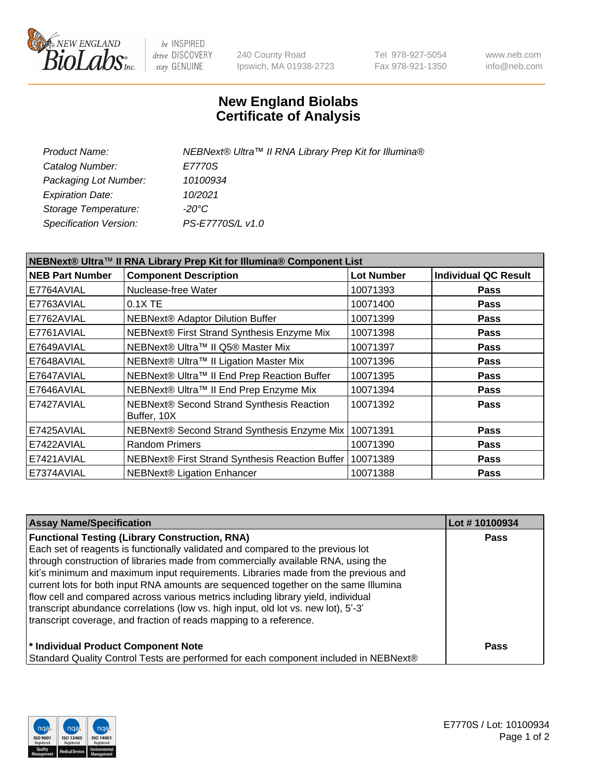

be INSPIRED drive DISCOVERY stay GENUINE

240 County Road Ipswich, MA 01938-2723 Tel 978-927-5054 Fax 978-921-1350 www.neb.com info@neb.com

## **New England Biolabs Certificate of Analysis**

| NEBNext® Ultra™ II RNA Library Prep Kit for Illumina® |
|-------------------------------------------------------|
| E7770S                                                |
| 10100934                                              |
| 10/2021                                               |
| -20°C                                                 |
| PS-E7770S/L v1.0                                      |
|                                                       |

| NEBNext® Ultra™ II RNA Library Prep Kit for Illumina® Component List |                                                            |                   |                             |  |
|----------------------------------------------------------------------|------------------------------------------------------------|-------------------|-----------------------------|--|
| <b>NEB Part Number</b>                                               | <b>Component Description</b>                               | <b>Lot Number</b> | <b>Individual QC Result</b> |  |
| E7764AVIAL                                                           | Nuclease-free Water                                        | 10071393          | <b>Pass</b>                 |  |
| E7763AVIAL                                                           | $0.1X$ TE                                                  | 10071400          | <b>Pass</b>                 |  |
| E7762AVIAL                                                           | <b>NEBNext® Adaptor Dilution Buffer</b>                    | 10071399          | <b>Pass</b>                 |  |
| E7761AVIAL                                                           | NEBNext® First Strand Synthesis Enzyme Mix                 | 10071398          | <b>Pass</b>                 |  |
| E7649AVIAL                                                           | NEBNext® Ultra™ II Q5® Master Mix                          | 10071397          | <b>Pass</b>                 |  |
| E7648AVIAL                                                           | NEBNext® Ultra™ II Ligation Master Mix                     | 10071396          | <b>Pass</b>                 |  |
| E7647AVIAL                                                           | NEBNext® Ultra™ II End Prep Reaction Buffer                | 10071395          | <b>Pass</b>                 |  |
| E7646AVIAL                                                           | NEBNext® Ultra™ II End Prep Enzyme Mix                     | 10071394          | <b>Pass</b>                 |  |
| E7427AVIAL                                                           | NEBNext® Second Strand Synthesis Reaction<br>Buffer, 10X   | 10071392          | <b>Pass</b>                 |  |
| E7425AVIAL                                                           | NEBNext® Second Strand Synthesis Enzyme Mix                | 10071391          | <b>Pass</b>                 |  |
| E7422AVIAL                                                           | <b>Random Primers</b>                                      | 10071390          | <b>Pass</b>                 |  |
| E7421AVIAL                                                           | NEBNext® First Strand Synthesis Reaction Buffer   10071389 |                   | <b>Pass</b>                 |  |
| E7374AVIAL                                                           | <b>NEBNext® Ligation Enhancer</b>                          | 10071388          | <b>Pass</b>                 |  |

| <b>Assay Name/Specification</b>                                                      | Lot #10100934 |
|--------------------------------------------------------------------------------------|---------------|
| <b>Functional Testing (Library Construction, RNA)</b>                                | <b>Pass</b>   |
| Each set of reagents is functionally validated and compared to the previous lot      |               |
| through construction of libraries made from commercially available RNA, using the    |               |
| kit's minimum and maximum input requirements. Libraries made from the previous and   |               |
| current lots for both input RNA amounts are sequenced together on the same Illumina  |               |
| flow cell and compared across various metrics including library yield, individual    |               |
| transcript abundance correlations (low vs. high input, old lot vs. new lot), 5'-3'   |               |
| transcript coverage, and fraction of reads mapping to a reference.                   |               |
| * Individual Product Component Note                                                  | Pass          |
| Standard Quality Control Tests are performed for each component included in NEBNext® |               |